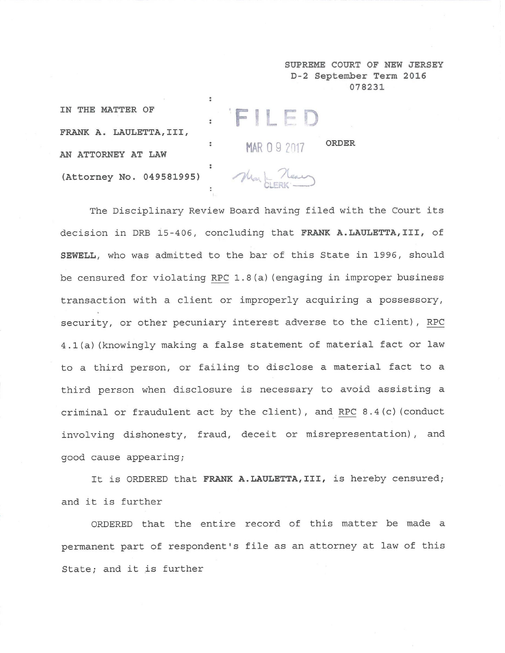**SUPREME COURT OF NEW JERSEY D-2 September Term 2016 078231**

**ORDER**

**IN THE MATTER OF** FRANK A. LAULETTA, III, AN ATTORNEY AT LAW (Attorney No. 049581995)

Mark Near

MAR 09 2017

. FILED

 $\bullet$ 

The Disciplinary Review Board having filed with the Court its decision in DRB 15-406, concluding that FRANK A.LAULETTA, III, of SEWELL, who was admitted to the bar of this State in 1996, should be censured for violating RPC 1.8(a) (engaging in improper business transaction with a client or improperly acquiring a possessory, security, or other pecuniary interest adverse to the client), RPC 4.1(a) (knowingly making a false statement of material fact or law to a third person, or failing to disclose a material fact to a third person when disclosure is necessary to avoid assisting a criminal or fraudulent act by the client), and RPC 8.4(c) (conduct involving dishonesty, fraud, deceit or misrepresentation), and good cause appearing;

It is ORDERED that FRANK A.LAULETTA, III, is hereby censured; and it is further

ORDERED that the entire record of this matter be made a permanent part of respondent's file as an attorney at law of this State; and it is further